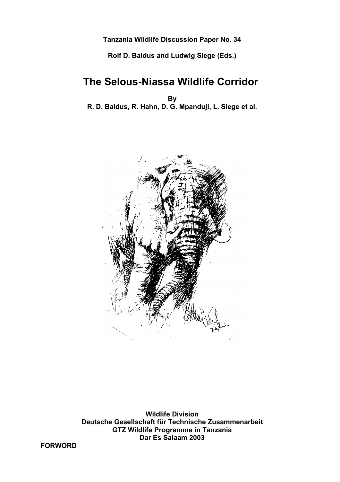**Tanzania Wildlife Discussion Paper No. 34**

**Rolf D. Baldus and Ludwig Siege (Eds.)**

# **The Selous-Niassa Wildlife Corridor**

**By R. D. Baldus, R. Hahn, D. G. Mpanduji, L. Siege et al.**



**Wildlife Division Deutsche Gesellschaft für Technische Zusammenarbeit GTZ Wildlife Programme in Tanzania Dar Es Salaam 2003**

**FORWORD**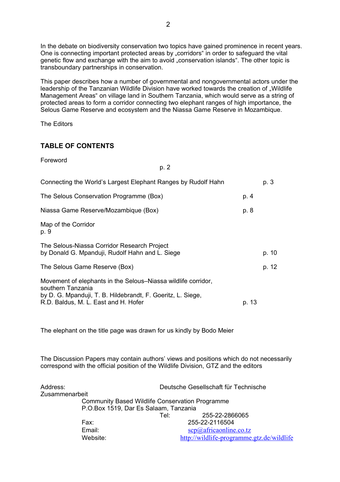In the debate on biodiversity conservation two topics have gained prominence in recent years. One is connecting important protected areas by "corridors" in order to safeguard the vital genetic flow and exchange with the aim to avoid "conservation islands". The other topic is transboundary partnerships in conservation.

This paper describes how a number of governmental and nongovernmental actors under the leadership of the Tanzanian Wildlife Division have worked towards the creation of "Wildlife Management Areas" on village land in Southern Tanzania, which would serve as a string of protected areas to form a corridor connecting two elephant ranges of high importance, the Selous Game Reserve and ecosystem and the Niassa Game Reserve in Mozambique.

p. 2

The Editors

# **TABLE OF CONTENTS**

Foreword

| Connecting the World's Largest Elephant Ranges by Rudolf Hahn                                                                                                                             |       | p. 3  |
|-------------------------------------------------------------------------------------------------------------------------------------------------------------------------------------------|-------|-------|
| The Selous Conservation Programme (Box)                                                                                                                                                   | p. 4  |       |
| Niassa Game Reserve/Mozambique (Box)                                                                                                                                                      | p. 8  |       |
| Map of the Corridor<br>p. 9                                                                                                                                                               |       |       |
| The Selous-Niassa Corridor Research Project<br>by Donald G. Mpanduji, Rudolf Hahn and L. Siege                                                                                            |       | p. 10 |
| The Selous Game Reserve (Box)                                                                                                                                                             |       | p. 12 |
| Movement of elephants in the Selous–Niassa wildlife corridor,<br>southern Tanzania<br>by D. G. Mpanduji, T. B. Hildebrandt, F. Goeritz, L. Siege,<br>R.D. Baldus, M. L. East and H. Hofer | p. 13 |       |

The elephant on the title page was drawn for us kindly by Bodo Meier

The Discussion Papers may contain authors' views and positions which do not necessarily correspond with the official position of the Wildlife Division, GTZ and the editors

| Address:       |                                       | Deutsche Gesellschaft für Technische                   |  |  |
|----------------|---------------------------------------|--------------------------------------------------------|--|--|
| Zusammenarbeit |                                       |                                                        |  |  |
|                |                                       | <b>Community Based Wildlife Conservation Programme</b> |  |  |
|                | P.O.Box 1519, Dar Es Salaam, Tanzania |                                                        |  |  |
|                |                                       | 255-22-2866065<br>Tel:                                 |  |  |
|                | Fax:                                  | 255-22-2116504                                         |  |  |
|                | Email:                                | $\frac{\text{scp}(a)}{a}$ africaonline.co.tz           |  |  |
|                | Website:                              | http://wildlife-programme.gtz.de/wildlife              |  |  |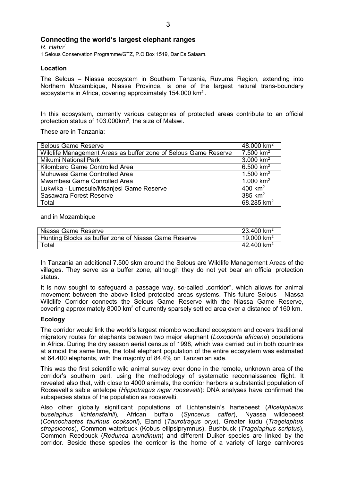## **Connecting the world's largest elephant ranges**

*R. Hahn<sup>1</sup>* 1 Selous Conservation Programme/GTZ, P.O.Box 1519, Dar Es Salaam.

## **Location**

The Selous – Niassa ecosystem in Southern Tanzania, Ruvuma Region, extending into Northern Mozambique, Niassa Province, is one of the largest natural trans-boundary ecosystems in Africa, covering approximately 154.000 km<sup>2</sup>.

In this ecosystem, currently various categories of protected areas contribute to an official protection status of 103.000km<sup>2</sup>, the size of Malawi.

These are in Tanzania:

| Selous Game Reserve                                             | 48,000 $km^2$ |
|-----------------------------------------------------------------|---------------|
| Wildlife Management Areas as buffer zone of Selous Game Reserve | 7.500 $km^2$  |
| <b>Mikumi National Park</b>                                     | 3.000 $km^2$  |
| Kilombero Game Controlled Area                                  | 6.500 $km^2$  |
| Muhuwesi Game Controlled Area                                   | 1.500 $km^2$  |
| Mwambesi Game Conrolled Area                                    | 1.000 $km^2$  |
| Lukwika - Lumesule/Msanjesi Game Reserve                        | 400 $km^2$    |
| Sasawara Forest Reserve                                         | 385 $km2$     |
| Total                                                           | 68.285 $km^2$ |

#### and in Mozambique

| Niassa Game Reserve                                  | 23.400 km <sup>2</sup> |
|------------------------------------------------------|------------------------|
| Hunting Blocks as buffer zone of Niassa Game Reserve | 19.000 km <sup>2</sup> |
| $\tau$ otal                                          | 42.400 km <sup>2</sup> |

In Tanzania an additional 7.500 skm around the Selous are Wildlife Management Areas of the villages. They serve as a buffer zone, although they do not yet bear an official protection status.

It is now sought to safeguard a passage way, so-called "corridor", which allows for animal movement between the above listed protected areas systems. This future Selous - Niassa Wildlife Corridor connects the Selous Game Reserve with the Niassa Game Reserve, covering approximately 8000 km<sup>2</sup> of currently sparsely settled area over a distance of 160 km.

#### **Ecology**

The corridor would link the world's largest miombo woodland ecosystem and covers traditional migratory routes for elephants between two major elephant (*Loxodonta africana*) populations in Africa. During the dry season aerial census of 1998, which was carried out in both countries at almost the same time, the total elephant population of the entire ecosystem was estimated at 64.400 elephants, with the majority of 84,4% on Tanzanian side.

This was the first scientific wild animal survey ever done in the remote, unknown area of the corridor's southern part, using the methodology of systematic reconnaissance flight. It revealed also that, with close to 4000 animals, the corridor harbors a substantial population of Roosevelt's sable antelope (*Hippotragus niger roosevelti*): DNA analyses have confirmed the subspecies status of the population as roosevelti.

Also other globally significant populations of Lichtenstein's hartebeest (*Alcelaphalus buselaphus lichtensteinii*)*,* African buffalo (*Syncerus caffer*), Nyassa wildebeest (*Connochaetes taurinus cooksoni*), Eland (*Taurotragus oryx*), Greater kudu (*Tragelaphus strepsiceros*), Common waterbuck (Kobus ellipsiprymnus), Bushbuck (*Tragelaphus scriptus*), Common Reedbuck (*Redunca arundinum*) and different Duiker species are linked by the corridor. Beside these species the corridor is the home of a variety of large carnivores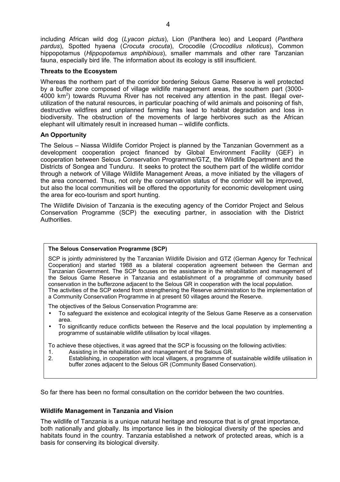including African wild dog (*Lyacon pictus*), Lion (Panthera leo) and Leopard (*Panthera pardus*), Spotted hyaena (*Crocuta crocuta*), Crocodile (*Crocodilus niloticus*), Common hippopotamus (*Hippopotamus amphibious*), smaller mammals and other rare Tanzanian fauna, especially bird life. The information about its ecology is still insufficient.

#### **Threats to the Ecosystem**

Whereas the northern part of the corridor bordering Selous Game Reserve is well protected by a buffer zone composed of village wildlife management areas, the southern part (3000- 4000 km<sup>2</sup>) towards Ruvuma River has not received any attention in the past. Illegal overutilization of the natural resources, in particular poaching of wild animals and poisoning of fish, destructive wildfires and unplanned farming has lead to habitat degradation and loss in biodiversity. The obstruction of the movements of large herbivores such as the African elephant will ultimately result in increased human – wildlife conflicts.

## **An Opportunity**

The Selous – Niassa Wildlife Corridor Project is planned by the Tanzanian Government as a development cooperation project financed by Global Environment Facility (GEF) in cooperation between Selous Conservation Programme/GTZ, the Wildlife Department and the Districts of Songea and Tunduru. It seeks to protect the southern part of the wildlife corridor through a network of Village Wildlife Management Areas, a move initiated by the villagers of the area concerned. Thus, not only the conservation status of the corridor will be improved, but also the local communities will be offered the opportunity for economic development using the area for eco-tourism and sport hunting.

The Wildlife Division of Tanzania is the executing agency of the Corridor Project and Selous Conservation Programme (SCP) the executing partner, in association with the District Authorities.

#### **The Selous Conservation Programme (SCP)**

SCP is jointly administered by the Tanzanian Wildlife Division and GTZ (German Agency for Technical Cooperation) and started 1988 as a bilateral cooperation agreement between the German and Tanzanian Government. The SCP focuses on the assistance in the rehabilitation and management of the Selous Game Reserve in Tanzania and establishment of a programme of community based conservation in the bufferzone adjacent to the Selous GR in cooperation with the local population. The activities of the SCP extend from strengthening the Reserve administration to the implementation of a Community Conservation Programme in at present 50 villages around the Reserve.

The objectives of the Selous Conservation Programme are:

- To safeguard the existence and ecological integrity of the Selous Game Reserve as a conservation area.
- To significantly reduce conflicts between the Reserve and the local population by implementing a programme of sustainable wildlife utilisation by local villages.

To achieve these objectives, it was agreed that the SCP is focussing on the following activities:

- 1. Assisting in the rehabilitation and management of the Selous GR.
- 2. Establishing, in cooperation with local villagers, a programme of sustainable wildlife utilisation in buffer zones adjacent to the Selous GR (Community Based Conservation).

So far there has been no formal consultation on the corridor between the two countries.

## **Wildlife Management in Tanzania and Vision**

The wildlife of Tanzania is a unique natural heritage and resource that is of great importance, both nationally and globally. Its importance lies in the biological diversity of the species and habitats found in the country. Tanzania established a network of protected areas, which is a basis for conserving its biological diversity.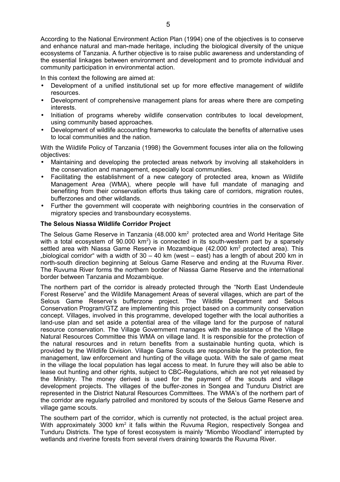According to the National Environment Action Plan (1994) one of the objectives is to conserve and enhance natural and man-made heritage, including the biological diversity of the unique ecosystems of Tanzania. A further objective is to raise public awareness and understanding of the essential linkages between environment and development and to promote individual and community participation in environmental action.

In this context the following are aimed at:

- Development of a unified institutional set up for more effective management of wildlife resources.
- Development of comprehensive management plans for areas where there are competing interests.
- Initiation of programs whereby wildlife conservation contributes to local development, using community based approaches.
- Development of wildlife accounting frameworks to calculate the benefits of alternative uses to local communities and the nation.

With the Wildlife Policy of Tanzania (1998) the Government focuses inter alia on the following objectives:

- Maintaining and developing the protected areas network by involving all stakeholders in the conservation and management, especially local communities.
- Facilitating the establishment of a new category of protected area, known as Wildlife Management Area (WMA), where people will have full mandate of managing and benefiting from their conservation efforts thus taking care of corridors, migration routes, bufferzones and other wildlands.
- Further the government will cooperate with neighboring countries in the conservation of migratory species and transboundary ecosystems.

## **The Selous Niassa Wildlife Corridor Project**

The Selous Game Reserve in Tanzania (48.000 km<sup>2</sup> protected area and World Heritage Site with a total ecosystem of  $90.000 \text{ km}^2$ ) is connected in its south-western part by a sparsely settled area with Niassa Game Reserve in Mozambique  $(42.000 \text{ km}^2 \text{ protected area})$ . This "biological corridor" with a width of  $30 - 40$  km (west – east) has a length of about 200 km in north-south direction beginning at Selous Game Reserve and ending at the Ruvuma River. The Ruvuma River forms the northern border of Niassa Game Reserve and the international border between Tanzania and Mozambique.

The northern part of the corridor is already protected through the "North East Undendeule Forest Reserve" and the Wildlife Management Areas of several villages, which are part of the Selous Game Reserve's bufferzone project. The Wildlife Department and Selous Conservation Program/GTZ are implementing this project based on a community conservation concept. Villages, involved in this programme, developed together with the local authorities a land-use plan and set aside a potential area of the village land for the purpose of natural resource conservation. The Village Government manages with the assistance of the Village Natural Resources Committee this WMA on village land. It is responsible for the protection of the natural resources and in return benefits from a sustainable hunting quota, which is provided by the Wildlife Division. Village Game Scouts are responsible for the protection, fire management, law enforcement and hunting of the village quota. With the sale of game meat in the village the local population has legal access to meat. In furure they will also be able to lease out hunting and other rights, subject to CBC-Regulations, which are not yet released by the Ministry. The money derived is used for the payment of the scouts and village development projects. The villages of the buffer-zones in Songea and Tunduru District are represented in the District Natural Resources Committees. The WMA's of the northern part of the corridor are regularly patrolled and monitored by scouts of the Selous Game Reserve and village game scouts.

The southern part of the corridor, which is currently not protected, is the actual project area. With approximately 3000 km<sup>2</sup> it falls within the Ruvuma Region, respectively Songea and Tunduru Districts. The type of forest ecosystem is mainly "Miombo Woodland" interrupted by wetlands and riverine forests from several rivers draining towards the Ruvuma River.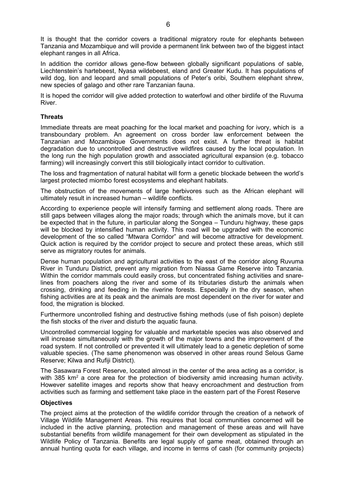It is thought that the corridor covers a traditional migratory route for elephants between Tanzania and Mozambique and will provide a permanent link between two of the biggest intact elephant ranges in all Africa.

In addition the corridor allows gene-flow between globally significant populations of sable, Liechtenstein's hartebeest, Nyasa wildebeest, eland and Greater Kudu. It has populations of wild dog, lion and leopard and small populations of Peter's oribi, Southern elephant shrew, new species of galago and other rare Tanzanian fauna.

It is hoped the corridor will give added protection to waterfowl and other birdlife of the Ruvuma River.

#### **Threats**

Immediate threats are meat poaching for the local market and poaching for ivory, which is a transboundary problem. An agreement on cross border law enforcement between the Tanzanian and Mozambique Governments does not exist. A further threat is habitat degradation due to uncontrolled and destructive wildfires caused by the local population. In the long run the high population growth and associated agricultural expansion (e.g. tobacco farming) will increasingly convert this still biologically intact corridor to cultivation.

The loss and fragmentation of natural habitat will form a genetic blockade between the world's largest protected miombo forest ecosystems and elephant habitats.

The obstruction of the movements of large herbivores such as the African elephant will ultimately result in increased human – wildlife conflicts.

According to experience people will intensify farming and settlement along roads. There are still gaps between villages along the major roads; through which the animals move, but it can be expected that in the future, in particular along the Songea – Tunduru highway, these gaps will be blocked by intensified human activity. This road will be upgraded with the economic development of the so called "Mtwara Corridor" and will become attractive for development. Quick action is required by the corridor project to secure and protect these areas, which still serve as migratory routes for animals.

Dense human population and agricultural activities to the east of the corridor along Ruvuma River in Tunduru District, prevent any migration from Niassa Game Reserve into Tanzania. Within the corridor mammals could easily cross, but concentrated fishing activities and snarelines from poachers along the river and some of its tributaries disturb the animals when crossing, drinking and feeding in the riverine forests. Especially in the dry season, when fishing activities are at its peak and the animals are most dependent on the river for water and food, the migration is blocked.

Furthermore uncontrolled fishing and destructive fishing methods (use of fish poison) deplete the fish stocks of the river and disturb the aquatic fauna.

Uncontrolled commercial logging for valuable and marketable species was also observed and will increase simultaneously with the growth of the major towns and the improvement of the road system. If not controlled or prevented it will ultimately lead to a genetic depletion of some valuable species. (The same phenomenon was observed in other areas round Selous Game Reserve; Kilwa and Rufiji District).

The Sasawara Forest Reserve, located almost in the center of the area acting as a corridor, is with 385 km<sup>2</sup> a core area for the protection of biodiversity amid increasing human activity. However satellite images and reports show that heavy encroachment and destruction from activities such as farming and settlement take place in the eastern part of the Forest Reserve

#### **Objectives**

The project aims at the protection of the wildlife corridor through the creation of a network of Village Wildlife Management Areas. This requires that local communities concerned will be included in the active planning, protection and management of these areas and will have substantial benefits from wildlife management for their own development as stipulated in the Wildlife Policy of Tanzania. Benefits are legal supply of game meat, obtained through an annual hunting quota for each village, and income in terms of cash (for community projects)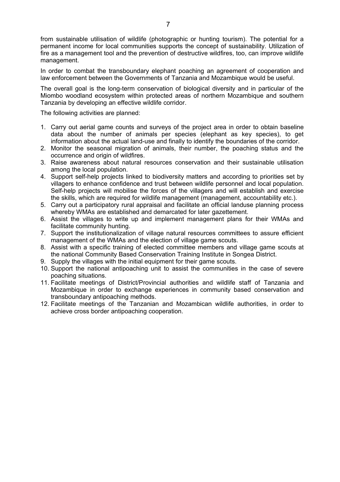from sustainable utilisation of wildlife (photographic or hunting tourism). The potential for a permanent income for local communities supports the concept of sustainability. Utilization of fire as a management tool and the prevention of destructive wildfires, too, can improve wildlife management.

In order to combat the transboundary elephant poaching an agreement of cooperation and law enforcement between the Governments of Tanzania and Mozambique would be useful.

The overall goal is the long-term conservation of biological diversity and in particular of the Miombo woodland ecosystem within protected areas of northern Mozambique and southern Tanzania by developing an effective wildlife corridor.

The following activities are planned:

- 1. Carry out aerial game counts and surveys of the project area in order to obtain baseline data about the number of animals per species (elephant as key species), to get information about the actual land-use and finally to identify the boundaries of the corridor.
- 2. Monitor the seasonal migration of animals, their number, the poaching status and the occurrence and origin of wildfires.
- 3. Raise awareness about natural resources conservation and their sustainable utilisation among the local population.
- 4. Support self-help projects linked to biodiversity matters and according to priorities set by villagers to enhance confidence and trust between wildlife personnel and local population. Self-help projects will mobilise the forces of the villagers and will establish and exercise the skills, which are required for wildlife management (management, accountability etc.).
- 5. Carry out a participatory rural appraisal and facilitate an official landuse planning process whereby WMAs are established and demarcated for later gazettement.
- 6. Assist the villages to write up and implement management plans for their WMAs and facilitate community hunting.
- 7. Support the institutionalization of village natural resources committees to assure efficient management of the WMAs and the election of village game scouts.
- 8. Assist with a specific training of elected committee members and village game scouts at the national Community Based Conservation Training Institute in Songea District.
- 9. Supply the villages with the initial equipment for their game scouts.
- 10. Support the national antipoaching unit to assist the communities in the case of severe poaching situations.
- 11. Facilitate meetings of District/Provincial authorities and wildlife staff of Tanzania and Mozambique in order to exchange experiences in community based conservation and transboundary antipoaching methods.
- 12. Facilitate meetings of the Tanzanian and Mozambican wildlife authorities, in order to achieve cross border antipoaching cooperation.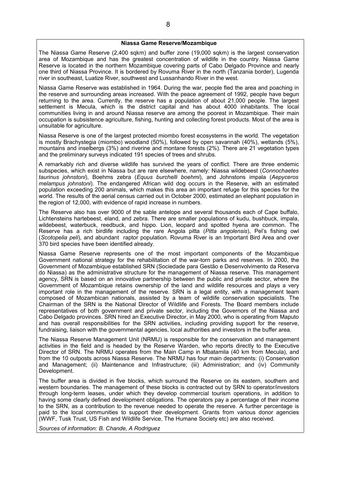#### **Niassa Game Reserve/Mozambique**

The Niassa Game Reserve (2,400 sqkm) and buffer zone (19,000 sqkm) is the largest conservation area of Mozambique and has the greatest concentration of wildlife in the country. Niassa Game Reserve is located in the northern Mozambique covering parts of Cabo Delgado Province and nearly one third of Niassa Province. It is bordered by Rovuma River in the north (Tanzania border), Lugenda river in southeast, Luatize River, southwest and Lussanhando River in the west.

Niassa Game Reserve was established in 1964. During the war, people fled the area and poaching in the reserve and surrounding areas increased. With the peace agreement of 1992, people have begun returning to the area. Currently, the reserve has a population of about 21,000 people. The largest settlement is Mecula, which is the district capital and has about 4000 inhabitants. The local communities living in and around Niassa reserve are among the poorest in Mozambique. Their main occupation is subsistence agriculture, fishing, hunting and collecting forest products. Most of the area is unsuitable for agriculture.

Niassa Reserve is one of the largest protected miombo forest ecosystems in the world. The vegetation is mostly Brachystegia (miombo) woodland (50%), followed by open savannah (40%), wetlands (5%), mountains and inselbergs (3%) and riverine and montane forests (2%). There are 21 vegetation types and the preliminary surveys indicated 191 species of trees and shrubs.

A remarkably rich and diverse wildlife has survived the years of conflict. There are three endemic subspecies, which exist in Niassa but are rare elsewhere, namely: Niassa wildebeest (*Connochaetes taurinus johnstoni*), Boehms zebra (*Equus burchelli boehmi*), and Johnstons impala (*Aepyceros melampus johnstoni*). The endangered African wild dog occurs in the Reserve, with an estimated population exceeding 200 animals, which makes this area an important refuge for this species for the world. The results of the aerial census carried out in October 2000, estimated an elephant population in the region of 12,000, with evidence of rapid increase in numbers.

The Reserve also has over 9000 of the sable antelope and several thousands each of Cape buffalo, Lichtensteins hartebeest, eland, and zebra. There are smaller populations of kudu, bushbuck, impala, wildebeest, waterbuck, reedbuck, and hippo. Lion, leopard and spotted hyena are common. The Reserve has a rich birdlife including the rare Angola pitta (*Pitta angolensis*), Pel's fishing owl (*Scotopelia peli*), and abundant raptor population. Rovuma River is an Important Bird Area and over 370 bird species have been identified already.

Niassa Game Reserve represents one of the most important components of the Mozambique Government national strategy for the rehabilitation of the war-torn parks and reserves. In 2000, the Government of Mozambique established SRN (Sociedade para Gestão e Desenvolvimento da Reserva do Niassa) as the administrative structure for the management of Niassa reserve. This management agency, SRN is based on an innovative partnership between the public and private sector, where the Government of Mozambique retains ownership of the land and wildlife resources and plays a very important role in the management of the reserve. SRN is a legal entity, with a management team composed of Mozambican nationals, assisted by a team of wildlife conservation specialists. The Chairman of the SRN is the National Director of Wildlife and Forests. The Board members include representatives of both government and private sector, including the Governors of the Niassa and Cabo Delgado provinces. SRN hired an Executive Director, in May 2000, who is operating from Maputo and has overall responsibilities for the SRN activities, including providing support for the reserve, fundraising, liaison with the governmental agencies, local authorities and investors in the buffer area.

The Niassa Reserve Management Unit (NRMU) is responsible for the conservation and management activities in the field and is headed by the Reserve Warden, who reports directly to the Executive Director of SRN. The NRMU operates from the Main Camp in Mbatamila (40 km from Mecula), and from the 10 outposts across Niassa Reserve. The NRMU has four main departments: (i) Conservation and Management; (ii) Maintenance and Infrastructure; (iii) Administration; and (iv) Community Development.

The buffer area is divided in five blocks, which surround the Reserve on its eastern, southern and western boundaries. The management of these blocks is contracted out by SRN to operator/investors through long-term leases, under which they develop commercial tourism operations, in addition to having some clearly defined development obligations. The operators pay a percentage of their income to the SRN, as a contribution to the revenue needed to operate the reserve. A further percentage is paid to the local communities to support their development. Grants from various donor agencies (WWF, Tusk Trust, US Fish and Wildlife Service, The Humane Society etc) are also received.

*Sources of information: B. Chande, A Rodriguez*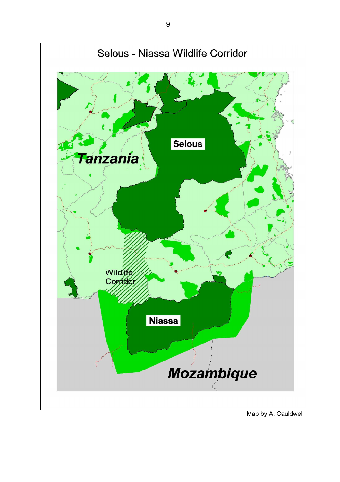

<sup>9</sup>

Map by A. Cauldwell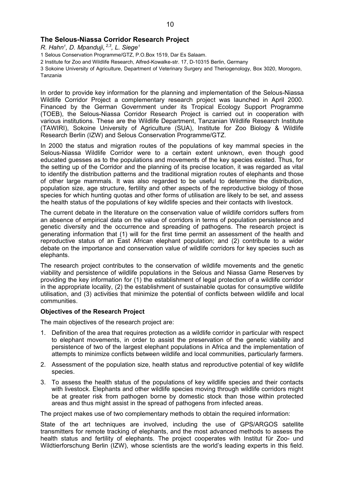## **The Selous-Niassa Corridor Research Project**

*R. Hahn<sup>1</sup> , D. Mpanduji*, *2,3 , L. Siege<sup>1</sup>*

1 Selous Conservation Programme/GTZ, P.O.Box 1519, Dar Es Salaam.

2 Institute for Zoo and Wildlife Research, Alfred-Kowalke-str. 17, D-10315 Berlin, Germany

3 Sokoine University of Agriculture, Department of Veterinary Surgery and Theriogenology, Box 3020, Morogoro, Tanzania

In order to provide key information for the planning and implementation of the Selous-Niassa Wildlife Corridor Project a complementary research project was launched in April 2000. Financed by the German Government under its Tropical Ecology Support Programme (TOEB), the Selous-Niassa Corridor Research Project is carried out in cooperation with various institutions. These are the Wildlife Department, Tanzanian Wildlife Research Institute (TAWIRI), Sokoine University of Agriculture (SUA), Institute for Zoo Biology & Wildlife Research Berlin (IZW) and Selous Conservation Programme/GTZ.

In 2000 the status and migration routes of the populations of key mammal species in the Selous-Niassa Wildlife Corridor were to a certain extent unknown, even though good educated guesses as to the populations and movements of the key species existed. Thus, for the setting up of the Corridor and the planning of its precise location, it was regarded as vital to identify the distribution patterns and the traditional migration routes of elephants and those of other large mammals. It was also regarded to be useful to determine the distribution, population size, age structure, fertility and other aspects of the reproductive biology of those species for which hunting quotas and other forms of utilisation are likely to be set, and assess the health status of the populations of key wildlife species and their contacts with livestock.

The current debate in the literature on the conservation value of wildlife corridors suffers from an absence of empirical data on the value of corridors in terms of population persistence and genetic diversity and the occurrence and spreading of pathogens. The research project is generating information that (1) will for the first time permit an assessment of the health and reproductive status of an East African elephant population; and (2) contribute to a wider debate on the importance and conservation value of wildlife corridors for key species such as elephants.

The research project contributes to the conservation of wildlife movements and the genetic viability and persistence of wildlife populations in the Selous and Niassa Game Reserves by providing the key information for (1) the establishment of legal protection of a wildlife corridor in the appropriate locality, (2) the establishment of sustainable quotas for consumptive wildlife utilisation, and (3) activities that minimize the potential of conflicts between wildlife and local communities.

#### **Objectives of the Research Project**

The main objectives of the research project are:

- 1. Definition of the area that requires protection as a wildlife corridor in particular with respect to elephant movements, in order to assist the preservation of the genetic viability and persistence of two of the largest elephant populations in Africa and the implementation of attempts to minimize conflicts between wildlife and local communities, particularly farmers.
- 2. Assessment of the population size, health status and reproductive potential of key wildlife species.
- 3. To assess the health status of the populations of key wildlife species and their contacts with livestock. Elephants and other wildlife species moving through wildlife corridors might be at greater risk from pathogen borne by domestic stock than those within protected areas and thus might assist in the spread of pathogens from infected areas.

The project makes use of two complementary methods to obtain the required information:

State of the art techniques are involved, including the use of GPS/ARGOS satellite transmitters for remote tracking of elephants, and the most advanced methods to assess the health status and fertility of elephants. The project cooperates with Institut für Zoo- und Wildtierforschung Berlin (IZW), whose scientists are the world's leading experts in this field.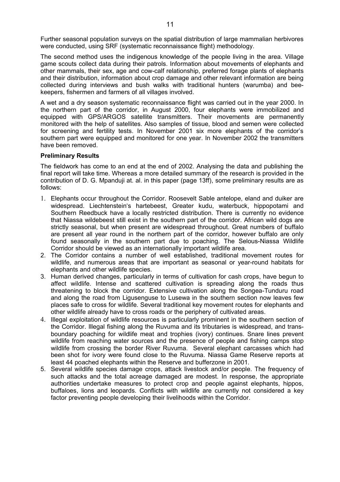Further seasonal population surveys on the spatial distribution of large mammalian herbivores were conducted, using SRF (systematic reconnaissance flight) methodology.

The second method uses the indigenous knowledge of the people living in the area. Village game scouts collect data during their patrols. Information about movements of elephants and other mammals, their sex, age and cow-calf relationship, preferred forage plants of elephants and their distribution, information about crop damage and other relevant information are being collected during interviews and bush walks with traditional hunters (warumba) and beekeepers, fishermen and farmers of all villages involved.

A wet and a dry season systematic reconnaissance flight was carried out in the year 2000. In the northern part of the corridor, in August 2000, four elephants were immobilized and equipped with GPS/ARGOS satellite transmitters. Their movements are permanently monitored with the help of satellites. Also samples of tissue, blood and semen were collected for screening and fertility tests. In November 2001 six more elephants of the corridor's southern part were equipped and monitored for one year. In November 2002 the transmitters have been removed.

## **Preliminary Results**

The fieldwork has come to an end at the end of 2002. Analysing the data and publishing the final report will take time. Whereas a more detailed summary of the research is provided in the contribution of D. G. Mpanduji at. al. in this paper (page 13ff), some preliminary results are as follows:

- 1. Elephants occur throughout the Corridor. Roosevelt Sable antelope, eland and duiker are widespread. Liechtenstein's hartebeest, Greater kudu, waterbuck, hippopotami and Southern Reedbuck have a locally restricted distribution. There is currently no evidence that Niassa wildebeest still exist in the southern part of the corridor. African wild dogs are strictly seasonal, but when present are widespread throughout. Great numbers of buffalo are present all year round in the northern part of the corridor, however buffalo are only found seasonally in the southern part due to poaching. The Selous-Niassa Wildlife Corridor should be viewed as an internationally important wildlife area.
- 2. The Corridor contains a number of well established, traditional movement routes for wildlife, and numerous areas that are important as seasonal or year-round habitats for elephants and other wildlife species.
- 3. Human derived changes, particularly in terms of cultivation for cash crops, have begun to affect wildlife. Intense and scattered cultivation is spreading along the roads thus threatening to block the corridor. Extensive cultivation along the Songea-Tunduru road and along the road from Ligusenguse to Lusewa in the southern section now leaves few places safe to cross for wildlife. Several traditional key movement routes for elephants and other wildlife already have to cross roads or the periphery of cultivated areas.
- 4. Illegal exploitation of wildlife resources is particularly prominent in the southern section of the Corridor. Illegal fishing along the Ruvuma and its tributaries is widespread, and transboundary poaching for wildlife meat and trophies (ivory) continues. Snare lines prevent wildlife from reaching water sources and the presence of people and fishing camps stop wildlife from crossing the border River Ruvuma. Several elephant carcasses which had been shot for ivory were found close to the Ruvuma. Niassa Game Reserve reports at least 44 poached elephants within the Reserve and bufferzone in 2001.
- 5. Several wildlife species damage crops, attack livestock and/or people. The frequency of such attacks and the total acreage damaged are modest. In response, the appropriate authorities undertake measures to protect crop and people against elephants, hippos, buffaloes, lions and leopards. Conflicts with wildlife are currently not considered a key factor preventing people developing their livelihoods within the Corridor.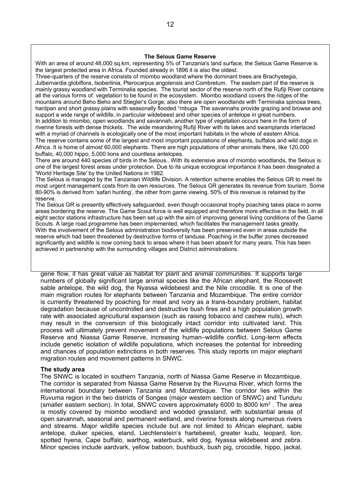#### **The Selous Game Reserve**

**Movement of elephants in the Selous–Niassa wildlife corridor, southern** the largest protected area in Africa. Founded already in 1896 it is also the oldest. With an area of around 48,000 sq.km, representing 5% of Tanzania's land surface, the Selous Game Reserve is

**Tanzania** Three-quarters of the reserve consists of miombo woodland where the dominant trees are Brachystegia, mainly grassy woodland with Terminalia species. The tourist sector of the reserve north of the Rufiji River contains all the various forms of vegetation to be found in the ecosystem. Miombo woodland covers the ridges of the mountains around Beho Beho and Stiegler's Gorge; also there are open woodlands with Terminalia spinosa trees, narupan and short grassy plains with seasonally hooded. Thougal The savannaris provide grazing and brot<br>support a wide range of wildlife, in particular wildebeest and other species of antelope in great numbers. support a macrange of miame, in particular miachecot and other species of antelope in great hannels.<br>In addition to miombo, open woodlands and savannah, another type of vegetation occurs here in the form of riverine, to membe, spen nootlands and ourlaining, allows type of regeners cours here in the remind.<br>riverine forests with dense thickets. The wide meandering Rufiji River with its lakes and swamplands interlaced The reserve contains some of the largest and most important populations of elephants, buffalos and wild dogs in Africa. It is home of almost 60,000 elephants. There are high populations of other animals there, like 120,000 Julbernardia globiflora, Isoberlinia, Pterocarpus angolensis and Combretum. The eastern part of the reserve is hardpan and short grassy plains with seasonally flooded "mbuga The savannahs provide grazing and browse and with a myriad of channels is ecologically one of the most important habitats in the whole of eastern Africa. buffalo, 40,000 hippo, 5,000 lions and countless antelopes.

There are around 440 species of birds in the Selous.. With its extensive area of miombo woodlands, the Selous is one of the largest forest areas under protection. Due to its unique ecological importance it has been designated a 'World Heritage Site' by the United Nations in 1982.<br>The United State's over 154,000 km<sup>2</sup>,000 km<sup>2</sup>,000 km<sup>2</sup>,000 km<sup>2</sup>,000 km<sup>2</sup> km<sup>2</sup>  $\overline{a}$ 

The Selous is managed by the Tanzanian Wildlife Division. A retention scheme enables the Selous GR to meet its<br>The Selous is management seets from its cum reservess. The Seleus GB generates its revenue from terriem. Sem ost digent management costs ironi its own resources. The Selous GK generates its revenue from tourism<br>DOOL is derived from 'sofari bunting', the other from game viewing. EOL of this revenue is ratained by the oo-9070<br>reserve. 80-90% is derived from 'safari hunting', the other from game viewing. 50% of this revenue is retained by the<br>reserve most urgent management costs from its own resources. The Selous GR generates its revenue from tourism. Some

reserre.<br>The Selous GR is presently effectively safeguarded, even though occasional trophy poaching takes place in some areas bordering the reserve. The Game Scout force is well equipped and therefore more effective in the field. In all eight sector stations infrastructure has been set up with the aim of improving general living conditions of the Game Scouts. A large road programme has been implemented, which facilitates the management tasks greatly. With the involvement of the Selous administration biodiversity has been preserved even in areas outside the reserve which had been threatened by destructive forms of landuse. Poaching in the buffer zones decreased significantly and wildlife is now coming back to areas where it has been absent for many years. This has been<br>sobjeved in partnership with the aurreunding villages and District edministrations. achieved in partnership with the surrounding villages and District administrations.<br>.

gene flow, it has great value as habitat for plant and animal communities. It supports large numbers of globally significant large animal species like the African elephant, the Roosevelt sable antelope, the wild dog, the Nyassa wildebeest and the Nile crocodile. It is one of the main migration routes for elephants between Tanzania and Mozambique. The entire corridor is currently threatened by poaching for meat and ivory as a trans-boundary problem, habitat degradation because of uncontrolled and destructive bush fires and a high population growth rate with associated agricultural expansion (such as raising tobacco and cashew nuts), which may result in the conversion of this biologically intact corridor into cultivated land. This process will ultimately prevent movement of the wildlife populations between Selous Game Reserve and Niassa Game Reserve, increasing human–wildlife conflict. Long-term effects include genetic isolation of wildlife populations, which increases the potential for inbreeding and chances of population extinctions in both reserves. This study reports on major elephant migration routes and movement patterns in SNWC.

#### **The study area**

The SNWC is located in southern Tanzania, north of Niassa Game Reserve in Mozambique. The corridor is separated from Niassa Game Reserve by the Ruvuma River, which forms the international boundary between Tanzania and Mozambique. The corridor lies within the Ruvuma region in the two districts of Songea (major western section of SNWC) and Tunduru (smaller eastern section). In total, SNWC covers approximately 6000 to 8000  $km<sup>2</sup>$ . The area is mostly covered by miombo woodland and wooded grassland, with substantial areas of open savannah, seasonal and permanent wetland, and riverine forests along numerous rivers and streams. Major wildlife species include but are not limited to African elephant, sable antelope, duiker species, eland, Liechtenstein's hartebeest, greater kudu, leopard, lion, spotted hyena, Cape buffalo, warthog, waterbuck, wild dog, Nyassa wildebeest and zebra. Minor species include aardvark, yellow baboon, bushbuck, bush pig, crocodile, hippo, jackal,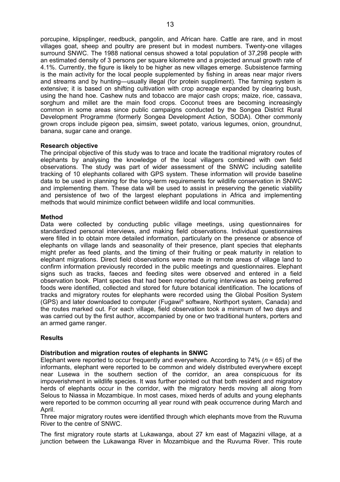porcupine, klipsplinger, reedbuck, pangolin, and African hare. Cattle are rare, and in most villages goat, sheep and poultry are present but in modest numbers. Twenty-one villages surround SNWC. The 1988 national census showed a total population of 37,298 people with an estimated density of 3 persons per square kilometre and a projected annual growth rate of 4.1%. Currently, the figure is likely to be higher as new villages emerge. Subsistence farming is the main activity for the local people supplemented by fishing in areas near major rivers and streams and by hunting—usually illegal (for protein suppliment). The farming system is extensive; it is based on shifting cultivation with crop acreage expanded by clearing bush, using the hand hoe. Cashew nuts and tobacco are major cash crops; maize, rice, cassava, sorghum and millet are the main food crops. Coconut trees are becoming increasingly common in some areas since public campaigns conducted by the Songea District Rural Development Programme (formerly Songea Development Action, SODA). Other commonly grown crops include pigeon pea, simsim, sweet potato, various legumes, onion, groundnut, banana, sugar cane and orange.

## **Research objective**

The principal objective of this study was to trace and locate the traditional migratory routes of elephants by analysing the knowledge of the local villagers combined with own field observations. The study was part of wider assessment of the SNWC including satellite tracking of 10 elephants collared with GPS system. These information will provide baseline data to be used in planning for the long-term requirements for wildlife conservation in SNWC and implementing them. These data will be used to assist in preserving the genetic viability and persistence of two of the largest elephant populations in Africa and implementing methods that would minimize conflict between wildlife and local communities.

## **Method**

Data were collected by conducting public village meetings, using questionnaires for standardized personal interviews, and making field observations. Individual questionnaires were filled in to obtain more detailed information, particularly on the presence or absence of elephants on village lands and seasonality of their presence, plant species that elephants might prefer as feed plants, and the timing of their fruiting or peak maturity in relation to elephant migrations. Direct field observations were made in remote areas of village land to confirm information previously recorded in the public meetings and questionnaires. Elephant signs such as tracks, faeces and feeding sites were observed and entered in a field observation book. Plant species that had been reported during interviews as being preferred foods were identified, collected and stored for future botanical identification. The locations of tracks and migratory routes for elephants were recorded using the Global Position System (GPS) and later downloaded to computer (Fugawi ® software, Northport system, Canada) and the routes marked out. For each village, field observation took a minimum of two days and was carried out by the first author, accompanied by one or two traditional hunters, porters and an armed game ranger.

#### **Results**

#### **Distribution and migration routes of elephants in SNWC**

Elephant were reported to occur frequently and everywhere. According to 74% (*n* = 65) of the informants, elephant were reported to be common and widely distributed everywhere except near Lusewa in the southern section of the corridor, an area conspicuous for its impoverishment in wildlife species. It was further pointed out that both resident and migratory herds of elephants occur in the corridor, with the migratory herds moving all along from Selous to Niassa in Mozambique. In most cases, mixed herds of adults and young elephants were reported to be common occurring all year round with peak occurrence during March and April.

Three major migratory routes were identified through which elephants move from the Ruvuma River to the centre of SNWC.

The first migratory route starts at Lukawanga, about 27 km east of Magazini village, at a junction between the Lukawanga River in Mozambique and the Ruvuma River. This route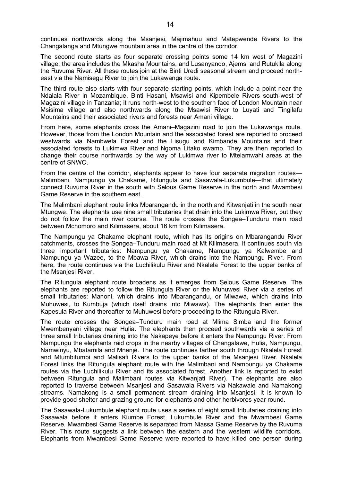continues northwards along the Msanjesi, Majimahuu and Matepwende Rivers to the Changalanga and Mtungwe mountain area in the centre of the corridor.

The second route starts as four separate crossing points some 14 km west of Magazini village; the area includes the Mkasha Mountains, and Lusanyando, Ajemsi and Rutukila along the Ruvuma River. All these routes join at the Binti Uredi seasonal stream and proceed northeast via the Namisegu River to join the Lukawanga route.

The third route also starts with four separate starting points, which include a point near the Ndalala River in Mozambique, Binti Hasani, Msawisi and Kipembele Rivers south-west of Magazini village in Tanzania; it runs north-west to the southern face of London Mountain near Msisima village and also northwards along the Msawisi River to Luyati and Tingilafu Mountains and their associated rivers and forests near Amani village.

From here, some elephants cross the Amani–Magazini road to join the Lukawanga route. However, those from the London Mountain and the associated forest are reported to proceed westwards via Nambwela Forest and the Lisugu and Kimbande Mountains and their associated forests to Lukimwa River and Ngoma Litako swamp. They are then reported to change their course northwards by the way of Lukimwa river to Mtelamwahi areas at the centre of SNWC.

From the centre of the corridor, elephants appear to have four separate migration routes— Malimbani, Nampungu ya Chakame, Ritungula and Sasawala-Lukumbule—that ultimately connect Ruvuma River in the south with Selous Game Reserve in the north and Mwambesi Game Reserve in the southern east.

The Malimbani elephant route links Mbarangandu in the north and Kitwanjati in the south near Mtungwe. The elephants use nine small tributaries that drain into the Lukimwa River, but they do not follow the main river course. The route crosses the Songea–Tunduru main road between Mchomoro and Kilimasera, about 16 km from Kilimasera.

The Nampungu ya Chakame elephant route, which has its origins on Mbarangandu River catchments, crosses the Songea–Tunduru main road at Mt Kilimasera. It continues south via three important tributaries: Nampungu ya Chakame, Nampungu ya Kalwembe and Nampungu ya Wazee, to the Mbawa River, which drains into the Nampungu River. From here, the route continues via the Luchilikulu River and Nkalela Forest to the upper banks of the Msanjesi River.

The Ritungula elephant route broadens as it emerges from Selous Game Reserve. The elephants are reported to follow the Ritungula River or the Muhuwesi River via a series of small tributaries: Manoni, which drains into Mbarangandu, or Miwawa, which drains into Muhuwesi, to Kumbuja (which itself drains into Miwawa). The elephants then enter the Kapesula River and thereafter to Muhuwesi before proceeding to the Ritungula River.

The route crosses the Songea–Tunduru main road at Mlima Simba and the former Mwembenyani village near Hulia. The elephants then proceed southwards via a series of three small tributaries draining into the Nakapeye before it enters the Nampungu River. From Nampungu the elephants raid crops in the nearby villages of Changalawe, Hulia, Nampungu, Namwinyu, Mbatamila and Mnenje. The route continues farther south through Nkalela Forest and Mtumbitumbi and Malisafi Rivers to the upper banks of the Msanjesi River. Nkalela Forest links the Ritungula elephant route with the Malimbani and Nampungu ya Chakame routes via the Luchilikulu River and its associated forest. Another link is reported to exist between Ritungula and Malimbani routes via Kitwanjati River). The elephants are also reported to traverse between Msanjesi and Sasawala Rivers via Nakawale and Namakong streams. Namakong is a small permanent stream draining into Msanjesi. It is known to provide good shelter and grazing ground for elephants and other herbivores year round.

The Sasawala-Lukumbule elephant route uses a series of eight small tributaries draining into Sasawala before it enters Kiumbe Forest, Lukumbule River and the Mwambesi Game Reserve. Mwambesi Game Reserve is separated from Niassa Game Reserve by the Ruvuma River. This route suggests a link between the eastern and the western wildlife corridors. Elephants from Mwambesi Game Reserve were reported to have killed one person during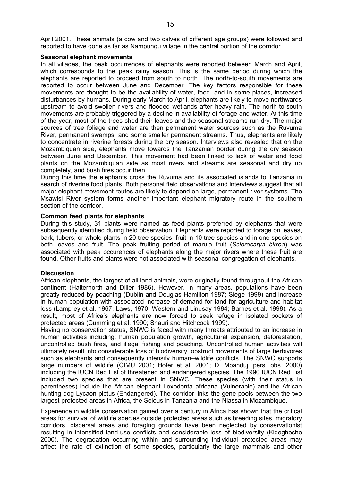#### **Seasonal elephant movements**

In all villages, the peak occurrences of elephants were reported between March and April, which corresponds to the peak rainy season. This is the same period during which the elephants are reported to proceed from south to north. The north-to-south movements are reported to occur between June and December. The key factors responsible for these movements are thought to be the availability of water, food, and in some places, increased disturbances by humans. During early March to April, elephants are likely to move northwards upstream to avoid swollen rivers and flooded wetlands after heavy rain. The north-to-south movements are probably triggered by a decline in availability of forage and water. At this time of the year, most of the trees shed their leaves and the seasonal streams run dry. The major sources of tree foliage and water are then permanent water sources such as the Ruvuma River, permanent swamps, and some smaller permanent streams. Thus, elephants are likely to concentrate in riverine forests during the dry season. Interviews also revealed that on the Mozambiquan side, elephants move towards the Tanzanian border during the dry season between June and December. This movement had been linked to lack of water and food plants on the Mozambiquan side as most rivers and streams are seasonal and dry up completely, and bush fires occur then.

During this time the elephants cross the Ruvuma and its associated islands to Tanzania in search of riverine food plants. Both personal field observations and interviews suggest that all major elephant movement routes are likely to depend on large, permanent river systems. The Msawisi River system forms another important elephant migratory route in the southern section of the corridor.

## **Common feed plants for elephants**

During this study, 31 plants were named as feed plants preferred by elephants that were subsequently identified during field observation. Elephants were reported to forage on leaves, bark, tubers, or whole plants in 20 tree species, fruit in 10 tree species and in one species on both leaves and fruit. The peak fruiting period of marula fruit (*Sclerocarya birrea*) was associated with peak occurences of elephants along the major rivers where these fruit are found. Other fruits and plants were not associated with seasonal congregation of elephants.

#### **Discussion**

African elephants, the largest of all land animals, were originally found throughout the African continent (Halternorth and Diller 1986). However, in many areas, populations have been greatly reduced by poaching (Dublin and Douglas-Hamilton 1987; Siege 1999) and increase in human population with associated increase of demand for land for agriculture and habitat loss (Lamprey et al. 1967; Laws, 1970; Western and Lindsay 1984; Barnes et al. 1998). As a result, most of Africa's elephants are now forced to seek refuge in isolated pockets of protected areas (Cumming et al. 1990; Shauri and Hitchcock 1999).

Having no conservation status, SNWC is faced with many threats attributed to an increase in human activities including; human population growth, agricultural expansion, deforestation, uncontrolled bush fires, and illegal fishing and poaching. Uncontrolled human activities will ultimately result into considerable loss of biodiversity, obstruct movements of large herbivores such as elephants and consequently intensify human–wildlife conflicts. The SNWC supports large numbers of wildlife (CIMU 2001; Hofer et al. 2001; D. Mpanduji pers. obs. 2000) including the IUCN Red List of threatened and endangered species. The 1990 IUCN Red List included two species that are present in SNWC. These species (with their status in parentheses) include the African elephant Loxodonta africana (Vulnerable) and the African hunting dog Lycaon pictus (Endangered). The corridor links the gene pools between the two largest protected areas in Africa, the Selous in Tanzania and the Niassa in Mozambique.

Experience in wildlife conservation gained over a century in Africa has shown that the critical areas for survival of wildlife species outside protected areas such as breeding sites, migratory corridors, dispersal areas and foraging grounds have been neglected by conservationist resulting in intensified land-use conflicts and considerable loss of biodiversity (Kideghesho 2000). The degradation occurring within and surrounding individual protected areas may affect the rate of extinction of some species, particularly the large mammals and other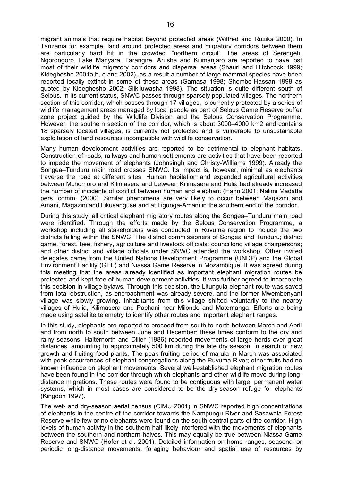migrant animals that require habitat beyond protected areas (Wilfred and Ruzika 2000). In Tanzania for example, land around protected areas and migratory corridors between them are particularly hard hit in the crowded '"northern circuit'. The areas of Serengeti, Ngorongoro, Lake Manyara, Tarangire, Arusha and Kilimanjaro are reported to have lost most of their wildlife migratory corridors and dispersal areas (Shauri and Hitchcock 1999; Kideghesho 2001a,b, c and 2002), as a result a number of large mammal species have been reported locally extinct in some of these areas (Gamasa 1998; Shombe-Hassan 1998 as quoted by Kideghesho 2002; Silkiluwasha 1998). The situation is quite different south of Selous. In its current status, SNWC passes through sparsely populated villages. The northern section of this corridor, which passes through 17 villages, is currently protected by a series of wildlife management areas managed by local people as part of Selous Game Reserve buffer zone project guided by the Wildlife Division and the Selous Conservation Programme. However, the southern section of the corridor, which is about 3000–4000 km2 and contains 18 sparsely located villages, is currently not protected and is vulnerable to unsustainable exploitation of land resources incompatible with wildlife conservation.

Many human development activities are reported to be detrimental to elephant habitats. Construction of roads, railways and human settlements are activities that have been reported to impede the movement of elephants (Johnsingh and Christy-Williams 1999). Already the Songea–Tunduru main road crosses SNWC. Its impact is, however, minimal as elephants traverse the road at different sites. Human habitation and expanded agricultural activities between Mchomoro and Kilimasera and between Kilimasera and Hulia had already increased the number of incidents of conflict between human and elephant (Hahn 2001; Nalimi Madatta pers. comm. (2000). Similar phenomena are very likely to occur between Magazini and Amani, Magazini and Likusanguse and at Ligunga-Amani in the southern end of the corridor.

During this study, all critical elephant migratory routes along the Songea–Tunduru main road were identified. Through the efforts made by the Selous Conservation Programme, a workshop including all stakeholders was conducted in Ruvuma region to include the two districts falling within the SNWC. The district commissioners of Songea and Tunduru; district game, forest, bee, fishery, agriculture and livestock officials; councillors; village chairpersons; and other district and village officials under SNWC attended the workshop. Other invited delegates came from the United Nations Development Programme (UNDP) and the Global Environment Facility (GEF) and Niassa Game Reserve in Mozambique. It was agreed during this meeting that the areas already identified as important elephant migration routes be protected and kept free of human development activities. It was further agreed to incorporate this decision in village bylaws. Through this decision, the Litungula elephant route was saved from total obstruction, as encroachment was already severe, and the former Mwembenyani village was slowly growing. Inhabitants from this village shifted voluntarily to the nearby villages of Hulia, Kilimasera and Pachani near Milonde and Matemanga. Efforts are being made using satellite telemetry to identify other routes and important elephant ranges.

In this study, elephants are reported to proceed from south to north between March and April and from north to south between June and December; these times conform to the dry and rainy seasons. Halternorth and Diller (1986) reported movements of large herds over great distances, amounting to approximately 500 km during the late dry season, in search of new growth and fruiting food plants. The peak fruiting period of marula in March was associated with peak occurrences of elephant congregations along the Ruvuma River; other fruits had no known influence on elephant movements. Several well-established elephant migration routes have been found in the corridor through which elephants and other wildlife move during longdistance migrations. These routes were found to be contiguous with large, permanent water systems, which in most cases are considered to be the dry-season refuge for elephants (Kingdon 1997).

The wet- and dry-season aerial census (CIMU 2001) in SNWC reported high concentrations of elephants in the centre of the corridor towards the Nampungu River and Sasawala Forest Reserve while few or no elephants were found on the south-central parts of the corridor. High levels of human activity in the southern half likely interfered with the movements of elephants between the southern and northern halves. This may equally be true between Niassa Game Reserve and SNWC (Hofer et al. 2001). Detailed information on home ranges, seasonal or periodic long-distance movements, foraging behaviour and spatial use of resources by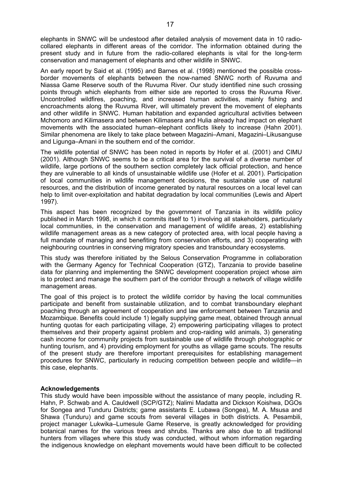elephants in SNWC will be undestood after detailed analysis of movement data in 10 radiocollared elephants in different areas of the corridor. The information obtained during the present study and in future from the radio-collared elephants is vital for the long-term conservation and management of elephants and other wildlife in SNWC.

An early report by Said et al. (1995) and Barnes et al. (1998) mentioned the possible crossborder movements of elephants between the now-named SNWC north of Ruvuma and Niassa Game Reserve south of the Ruvuma River. Our study identified nine such crossing points through which elephants from either side are reported to cross the Ruvuma River. Uncontrolled wildfires, poaching, and increased human activities, mainly fishing and encroachments along the Ruvuma River, will ultimately prevent the movement of elephants and other wildlife in SNWC. Human habitation and expanded agricultural activities between Mchomoro and Kilimasera and between Kilimasera and Hulia already had impact on elephant movements with the associated human–elephant conflicts likely to increase (Hahn 2001). Similar phenomena are likely to take place between Magazini–Amani, Magazini–Likusanguse and Ligunga–Amani in the southern end of the corridor.

The wildlife potential of SNWC has been noted in reports by Hofer et al. (2001) and CIMU (2001). Although SNWC seems to be a critical area for the survival of a diverse number of wildlife, large portions of the southern section completely lack official protection, and hence they are vulnerable to all kinds of unsustainable wildlife use (Hofer et al. 2001). Participation of local communities in wildlife management decisions, the sustainable use of natural resources, and the distribution of income generated by natural resources on a local level can help to limit over-exploitation and habitat degradation by local communities (Lewis and Alpert 1997).

This aspect has been recognized by the government of Tanzania in its wildlife policy published in March 1998, in which it commits itself to 1) involving all stakeholders, particularly local communities, in the conservation and management of wildlife areas, 2) establishing wildlife management areas as a new category of protected area, with local people having a full mandate of managing and benefiting from conservation efforts, and 3) cooperating with neighbouring countries in conserving migratory species and transboundary ecosystems.

This study was therefore initiated by the Selous Conservation Programme in collaboration with the Germany Agency for Technical Cooperation (GTZ), Tanzania to provide baseline data for planning and implementing the SNWC development cooperation project whose aim is to protect and manage the southern part of the corridor through a network of village wildlife management areas.

The goal of this project is to protect the wildlife corridor by having the local communities participate and benefit from sustainable utilization, and to combat transboundary elephant poaching through an agreement of cooperation and law enforcement between Tanzania and Mozambique. Benefits could include 1) legally supplying game meat, obtained through annual hunting quotas for each participating village, 2) empowering participating villages to protect themselves and their property against problem and crop-raiding wild animals, 3) generating cash income for community projects from sustainable use of wildlife through photographic or hunting tourism, and 4) providing employment for youths as village game scouts. The results of the present study are therefore important prerequisites for establishing management procedures for SNWC, particularly in reducing competition between people and wildlife—in this case, elephants.

#### **Acknowledgements**

This study would have been impossible without the assistance of many people, including R. Hahn, P. Schwab and A. Cauldwell (SCP/GTZ); Nalimi Madatta and Dickson Koishwa, DGOs for Songea and Tunduru Districts; game assistants E. Lubawa (Songea), M. A. Msusa and Shawa (Tunduru) and game scouts from several villages in both districts. A. Pesambili, project manager Lukwika–Lumesule Game Reserve, is greatly acknowledged for providing botanical names for the various trees and shrubs. Thanks are also due to all traditional hunters from villages where this study was conducted, without whom information regarding the indigenous knowledge on elephant movements would have been difficult to be collected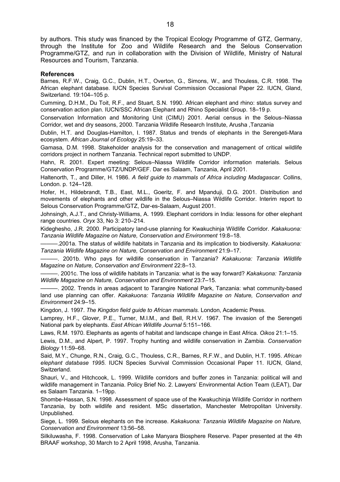by authors. This study was financed by the Tropical Ecology Programme of GTZ, Germany, through the Institute for Zoo and Wildlife Research and the Selous Conservation Programme/GTZ, and run in collaboration with the Division of Wildlife, Ministry of Natural Resources and Tourism, Tanzania.

#### **References**

Barnes, R.F.W., Craig, G.C., Dublin, H.T., Overton, G., Simons, W., and Thouless, C.R. 1998. The African elephant database. IUCN Species Survival Commission Occasional Paper 22. IUCN, Gland, Switzerland. 19:104–105 p.

Cumming, D.H.M., Du Toit, R.F., and Stuart, S.N. 1990. African elephant and rhino: status survey and conservation action plan. IUCN/SSC African Elephant and Rhino Specialist Group. 18–19 p.

Conservation Information and Monitoring Unit (CIMU) 2001. Aerial census in the Selous–Niassa Corridor, wet and dry seasons, 2000. Tanzania Wildlife Research Institute, Arusha ,Tanzania

Dublin, H.T. and Douglas-Hamilton, I. 1987. Status and trends of elephants in the Serengeti-Mara ecosystem. *African Journal of Ecology* 25:19–33.

Gamasa, D.M. 1998. Stakeholder analysis for the conservation and management of critical wildlife corridors project in northern Tanzania. Technical report submitted to UNDP.

Hahn, R. 2001. Expert meeting: Selous–Niassa Wildlife Corridor information materials. Selous Conservation Programme/GTZ/UNDP/GEF. Dar es Salaam, Tanzania, April 2001.

Haltenorth, T., and Diller, H. 1986. *A field guide to mammals of Africa including Madagascar.* Collins, London. p. 124–128.

Hofer, H., Hildebrandt, T.B., East, M.L., Goeritz, F. and Mpanduji, D.G. 2001. Distribution and movements of elephants and other wildlife in the Selous–Niassa Wildlife Corridor. Interim report to Selous Conservation Programme/GTZ, Dar-es-Salaam, August 2001.

Johnsingh, A.J.T., and Christy-Williams, A. 1999. Elephant corridors in India: lessons for other elephant range countries. *Oryx* 33, No 3: 210–214.

Kideghesho, J.R. 2000. Participatory land-use planning for Kwakuchinja Wildlife Corridor. *Kakakuona: Tanzania Wildlife Magazine on Nature, Conservation and Environment* 19:8–18.

———.2001a. The status of wildlife habitats in Tanzania and its implication to biodiversity. *Kakakuona: Tanzania Wildlife Magazine on Nature, Conservation and Environment* 21:9–17.

———. 2001b. Who pays for wildlife conservation in Tanzania? *Kakakuona: Tanzania Wildlife Magazine on Nature, Conservation and Environment* 22:8–13.

———. 2001c. The loss of wildlife habitats in Tanzania: what is the way forward? *Kakakuona: Tanzania Wildlife Magazine on Nature, Conservation and Environment* 23:7–15.

———. 2002. Trends in areas adjacent to Tarangire National Park, Tanzania: what community-based land use planning can offer. *Kakakuona: Tanzania Wildlife Magazine on Nature, Conservation and Environment* 24:9–15.

Kingdon, J. 1997. *The Kingdon field guide to African mammals.* London, Academic Press.

Lamprey, H.F., Glover, P.E., Turner, M.I.M., and Bell, R.H.V. 1967. The invasion of the Serengeti National park by elephants. *East African Wildlife Journal* 5:151–166.

Laws, R.M. 1970. Elephants as agents of habitat and landscape change in East Africa. *Oikos* 21:1–15.

Lewis, D.M., and Alpert, P. 1997. Trophy hunting and wildlife conservation in Zambia. *Conservation Biology* 11:59–68.

Said, M.Y., Chunge, R.N., Craig, G.C., Thouless, C.R., Barnes, R.F.W., and Dublin, H.T. 1995. *African elephant database 1995*. IUCN Species Survival Commission Occasional Paper 11. IUCN, Gland, Switzerland.

Shauri, V., and Hitchcook, L. 1999. Wildlife corridors and buffer zones in Tanzania: political will and wildlife management in Tanzania. Policy Brief No. 2. Lawyers' Environmental Action Team (LEAT), Dar es Salaam Tanzania. 1–19pp.

Shombe-Hassan, S.N. 1998. Assessment of space use of the Kwakuchinja Wildlife Corridor in northern Tanzania, by both wildlife and resident. MSc dissertation, Manchester Metropolitan University. Unpublished.

Siege, L. 1999. Selous elephants on the increase. *Kakakuona: Tanzania Wildlife Magazine on Nature, Conservation and Environment* 13:56–58.

Silkiluwasha, F. 1998. Conservation of Lake Manyara Biosphere Reserve. Paper presented at the 4th BRAAF workshop, 30 March to 2 April 1998, Arusha, Tanzania.